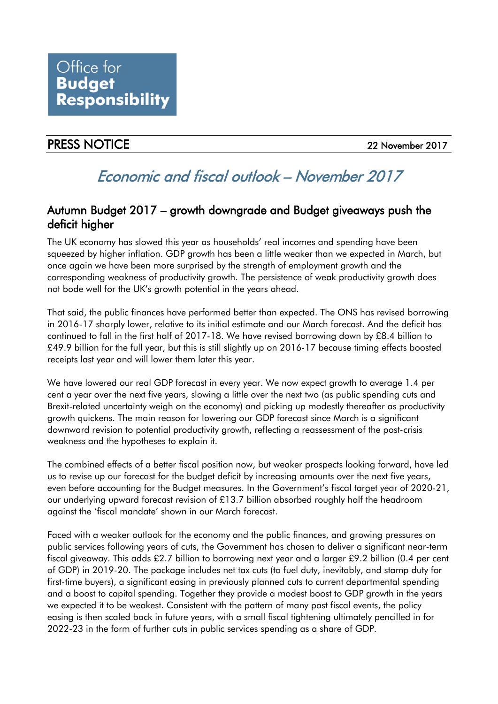## PRESS NOTICE 22 November 2017

# Economic and fiscal outlook – November 2017

## Autumn Budget 2017 – growth downgrade and Budget giveaways push the deficit higher

The UK economy has slowed this year as households' real incomes and spending have been squeezed by higher inflation. GDP growth has been a little weaker than we expected in March, but once again we have been more surprised by the strength of employment growth and the corresponding weakness of productivity growth. The persistence of weak productivity growth does not bode well for the UK's growth potential in the years ahead.

That said, the public finances have performed better than expected. The ONS has revised borrowing in 2016-17 sharply lower, relative to its initial estimate and our March forecast. And the deficit has continued to fall in the first half of 2017-18. We have revised borrowing down by £8.4 billion to £49.9 billion for the full year, but this is still slightly up on 2016-17 because timing effects boosted receipts last year and will lower them later this year.

We have lowered our real GDP forecast in every year. We now expect growth to average 1.4 per cent a year over the next five years, slowing a little over the next two (as public spending cuts and Brexit-related uncertainty weigh on the economy) and picking up modestly thereafter as productivity growth quickens. The main reason for lowering our GDP forecast since March is a significant downward revision to potential productivity growth, reflecting a reassessment of the post-crisis weakness and the hypotheses to explain it.

The combined effects of a better fiscal position now, but weaker prospects looking forward, have led us to revise up our forecast for the budget deficit by increasing amounts over the next five years, even before accounting for the Budget measures. In the Government's fiscal target year of 2020-21, our underlying upward forecast revision of £13.7 billion absorbed roughly half the headroom against the 'fiscal mandate' shown in our March forecast.

Faced with a weaker outlook for the economy and the public finances, and growing pressures on public services following years of cuts, the Government has chosen to deliver a significant near-term fiscal giveaway. This adds £2.7 billion to borrowing next year and a larger £9.2 billion (0.4 per cent of GDP) in 2019-20. The package includes net tax cuts (to fuel duty, inevitably, and stamp duty for first-time buyers), a significant easing in previously planned cuts to current departmental spending and a boost to capital spending. Together they provide a modest boost to GDP growth in the years we expected it to be weakest. Consistent with the pattern of many past fiscal events, the policy easing is then scaled back in future years, with a small fiscal tightening ultimately pencilled in for 2022-23 in the form of further cuts in public services spending as a share of GDP.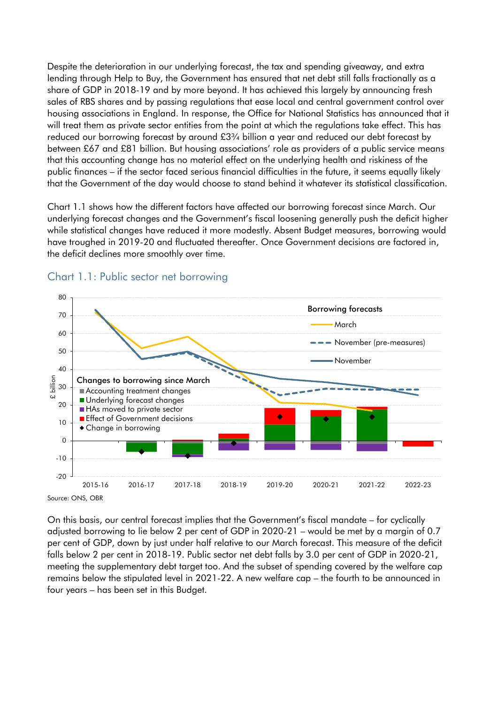Despite the deterioration in our underlying forecast, the tax and spending giveaway, and extra lending through Help to Buy, the Government has ensured that net debt still falls fractionally as a share of GDP in 2018-19 and by more beyond. It has achieved this largely by announcing fresh sales of RBS shares and by passing regulations that ease local and central government control over housing associations in England. In response, the Office for National Statistics has announced that it will treat them as private sector entities from the point at which the regulations take effect. This has reduced our borrowing forecast by around £3¾ billion a year and reduced our debt forecast by between £67 and £81 billion. But housing associations' role as providers of a public service means that this accounting change has no material effect on the underlying health and riskiness of the public finances – if the sector faced serious financial difficulties in the future, it seems equally likely that the Government of the day would choose to stand behind it whatever its statistical classification.

Chart 1.1 shows how the different factors have affected our borrowing forecast since March. Our underlying forecast changes and the Government's fiscal loosening generally push the deficit higher while statistical changes have reduced it more modestly. Absent Budget measures, borrowing would have troughed in 2019-20 and fluctuated thereafter. Once Government decisions are factored in, the deficit declines more smoothly over time.



#### Chart 1.1: Public sector net borrowing

On this basis, our central forecast implies that the Government's fiscal mandate – for cyclically adjusted borrowing to lie below 2 per cent of GDP in 2020-21 – would be met by a margin of 0.7 per cent of GDP, down by just under half relative to our March forecast. This measure of the deficit falls below 2 per cent in 2018-19. Public sector net debt falls by 3.0 per cent of GDP in 2020-21, meeting the supplementary debt target too. And the subset of spending covered by the welfare cap remains below the stipulated level in 2021-22. A new welfare cap – the fourth to be announced in four years – has been set in this Budget.

Source: ONS, OBR